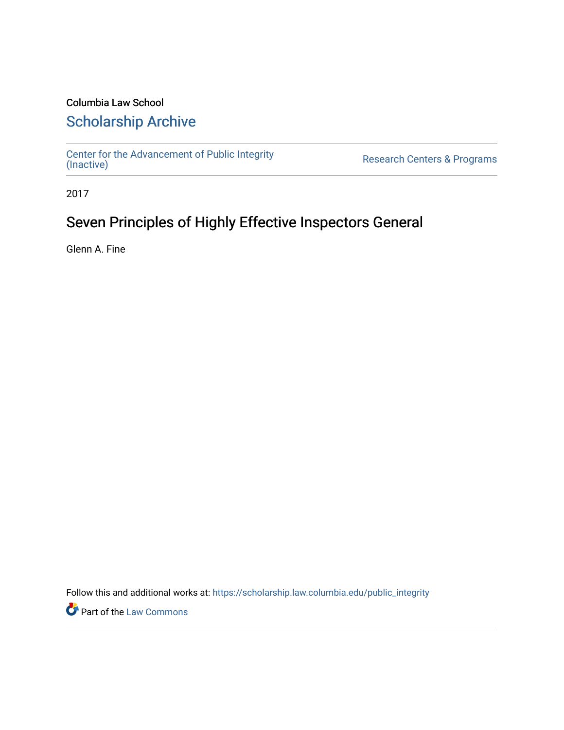# Columbia Law School

# [Scholarship Archive](https://scholarship.law.columbia.edu/)

[Center for the Advancement of Public Integrity](https://scholarship.law.columbia.edu/public_integrity)<br>(Inactive)

Research Centers & Programs

2017

# Seven Principles of Highly Effective Inspectors General

Glenn A. Fine

Follow this and additional works at: [https://scholarship.law.columbia.edu/public\\_integrity](https://scholarship.law.columbia.edu/public_integrity?utm_source=scholarship.law.columbia.edu%2Fpublic_integrity%2F48&utm_medium=PDF&utm_campaign=PDFCoverPages)

**Part of the [Law Commons](http://network.bepress.com/hgg/discipline/578?utm_source=scholarship.law.columbia.edu%2Fpublic_integrity%2F48&utm_medium=PDF&utm_campaign=PDFCoverPages)**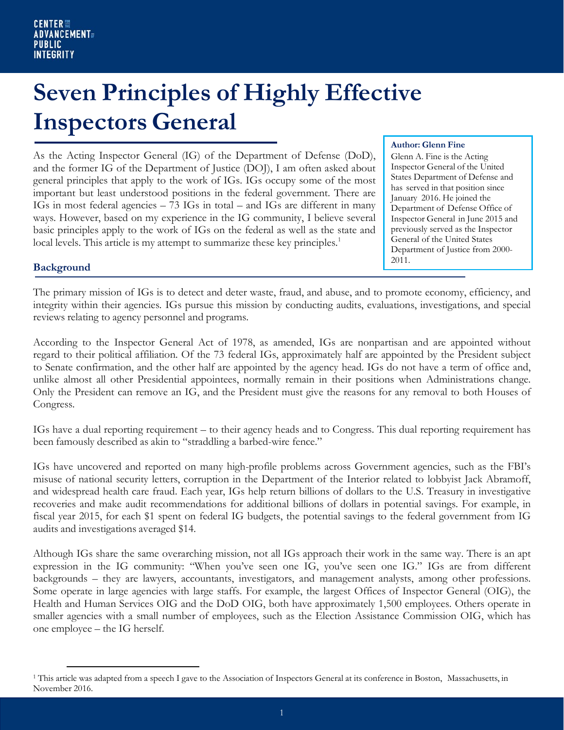# **Seven Principles of Highly Effective Inspectors General**

As the Acting Inspector General (IG) of the Department of Defense (DoD), and the former IG of the Department of Justice (DOJ), I am often asked about general principles that apply to the work of IGs. IGs occupy some of the most important but least understood positions in the federal government. There are IGs in most federal agencies – 73 IGs in total – and IGs are different in many ways. However, based on my experience in the IG community, I believe several basic principles apply to the work of IGs on the federal as well as the state and local levels. This article is my attempt to summarize these key principles.<sup>1</sup>

#### **Author: Glenn Fine**

Glenn A. Fine is the Acting Inspector General of the United States Department of Defense and has served in that position since January 2016. He joined the Department of Defense Office of Inspector General in June 2015 and previously served as the Inspector General of the United States Department of Justice from 2000- 2011.

### **Background**

The primary mission of IGs is to detect and deter waste, fraud, and abuse, and to promote economy, efficiency, and integrity within their agencies. IGs pursue this mission by conducting audits, evaluations, investigations, and special reviews relating to agency personnel and programs.

According to the Inspector General Act of 1978, as amended, IGs are nonpartisan and are appointed without regard to their political affiliation. Of the 73 federal IGs, approximately half are appointed by the President subject to Senate confirmation, and the other half are appointed by the agency head. IGs do not have a term of office and, unlike almost all other Presidential appointees, normally remain in their positions when Administrations change. Only the President can remove an IG, and the President must give the reasons for any removal to both Houses of Congress.

IGs have a dual reporting requirement – to their agency heads and to Congress. This dual reporting requirement has been famously described as akin to "straddling a barbed-wire fence."

IGs have uncovered and reported on many high-profile problems across Government agencies, such as the FBI's misuse of national security letters, corruption in the Department of the Interior related to lobbyist Jack Abramoff, and widespread health care fraud. Each year, IGs help return billions of dollars to the U.S. Treasury in investigative recoveries and make audit recommendations for additional billions of dollars in potential savings. For example, in fiscal year 2015, for each \$1 spent on federal IG budgets, the potential savings to the federal government from IG audits and investigations averaged \$14.

Although IGs share the same overarching mission, not all IGs approach their work in the same way. There is an apt expression in the IG community: "When you've seen one IG, you've seen one IG." IGs are from different backgrounds – they are lawyers, accountants, investigators, and management analysts, among other professions. Some operate in large agencies with large staffs. For example, the largest Offices of Inspector General (OIG), the Health and Human Services OIG and the DoD OIG, both have approximately 1,500 employees. Others operate in smaller agencies with a small number of employees, such as the Election Assistance Commission OIG, which has one employee – the IG herself.

<span id="page-1-0"></span><sup>1</sup> This article was adapted from a speech I gave to the Association of Inspectors General at its conference in Boston, Massachusetts, in November 2016.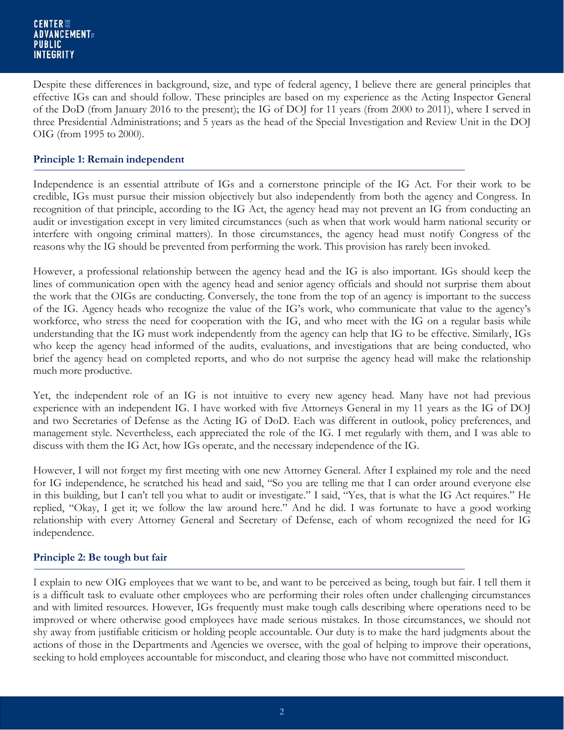Despite these differences in background, size, and type of federal agency, I believe there are general principles that effective IGs can and should follow. These principles are based on my experience as the Acting Inspector General of the DoD (from January 2016 to the present); the IG of DOJ for 11 years (from 2000 to 2011), where I served in three Presidential Administrations; and 5 years as the head of the Special Investigation and Review Unit in the DOJ OIG (from 1995 to 2000).

# **Principle 1: Remain independent**

Independence is an essential attribute of IGs and a cornerstone principle of the IG Act. For their work to be credible, IGs must pursue their mission objectively but also independently from both the agency and Congress. In recognition of that principle, according to the IG Act, the agency head may not prevent an IG from conducting an audit or investigation except in very limited circumstances (such as when that work would harm national security or interfere with ongoing criminal matters). In those circumstances, the agency head must notify Congress of the reasons why the IG should be prevented from performing the work. This provision has rarely been invoked.

However, a professional relationship between the agency head and the IG is also important. IGs should keep the lines of communication open with the agency head and senior agency officials and should not surprise them about the work that the OIGs are conducting. Conversely, the tone from the top of an agency is important to the success of the IG. Agency heads who recognize the value of the IG's work, who communicate that value to the agency's workforce, who stress the need for cooperation with the IG, and who meet with the IG on a regular basis while understanding that the IG must work independently from the agency can help that IG to be effective. Similarly, IGs who keep the agency head informed of the audits, evaluations, and investigations that are being conducted, who brief the agency head on completed reports, and who do not surprise the agency head will make the relationship much more productive.

Yet, the independent role of an IG is not intuitive to every new agency head. Many have not had previous experience with an independent IG. I have worked with five Attorneys General in my 11 years as the IG of DOJ and two Secretaries of Defense as the Acting IG of DoD. Each was different in outlook, policy preferences, and management style. Nevertheless, each appreciated the role of the IG. I met regularly with them, and I was able to discuss with them the IG Act, how IGs operate, and the necessary independence of the IG.

However, I will not forget my first meeting with one new Attorney General. After I explained my role and the need for IG independence, he scratched his head and said, "So you are telling me that I can order around everyone else in this building, but I can't tell you what to audit or investigate." I said, "Yes, that is what the IG Act requires." He replied, "Okay, I get it; we follow the law around here." And he did. I was fortunate to have a good working relationship with every Attorney General and Secretary of Defense, each of whom recognized the need for IG independence.

# **Principle 2: Be tough but fair**

I explain to new OIG employees that we want to be, and want to be perceived as being, tough but fair. I tell them it is a difficult task to evaluate other employees who are performing their roles often under challenging circumstances and with limited resources. However, IGs frequently must make tough calls describing where operations need to be improved or where otherwise good employees have made serious mistakes. In those circumstances, we should not shy away from justifiable criticism or holding people accountable. Our duty is to make the hard judgments about the actions of those in the Departments and Agencies we oversee, with the goal of helping to improve their operations, seeking to hold employees accountable for misconduct, and clearing those who have not committed misconduct.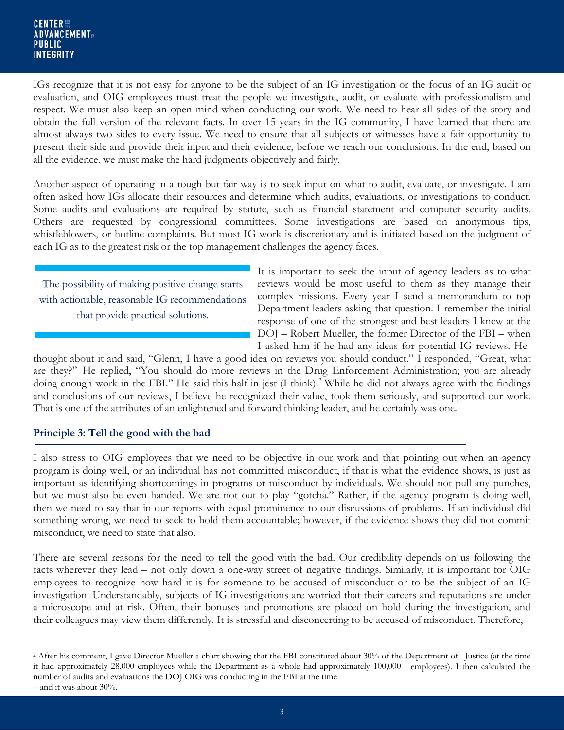#### CENTER !!! **ADVANCEMENT** PUBLIC **INTEGRITY**

IGs recognize that it is not easy for anyone to be the subject of an IG investigation or the focus of an IG audit or evaluation, and OIG employees must treat the people we investigate, audit, or evaluate with professionalism and respect. We must also keep an open mind when conducting our work. We need to hear all sides of the story and obtain the full version of the relevant facts. In over 15 years in the IG community, I have learned that there are almost always two sides to every issue. We need to ensure that all subjects or witnesses have a fair opportunity to present their side and provide their input and their evidence, before we reach our conclusions. In the end, based on all the evidence, we must make the hard judgments objectively and fairly.

Another aspect of operating in a tough but fair way is to seek input on what to audit, evaluate, or investigate. I am often asked how IGs allocate their resources and determine which audits, evaluations, or investigations to conduct. Some audits and evaluations are required by statute, such as financial statement and computer security audits. Others are requested by congressional committees. Some investigations are based on anonymous tips, whistleblowers, or hotline complaints. But most IG work is discretionary and is initiated based on the judgment of each IG as to the greatest risk or the top management challenges the agency faces.

The possibility of making positive change starts with actionable, reasonable IG recommendations that provide practical solutions.

It is important to seek the input of agency leaders as to what reviews would be most useful to them as they manage their complex missions. Every year I send a memorandum to top Department leaders asking that question. I remember the initial response of one of the strongest and best leaders I knew at the DOJ – Robert Mueller, the former Director of the FBI – when I asked him if he had any ideas for potential IG reviews. He

thought about it and said, "Glenn, I have a good idea on reviews you should conduct." I responded, "Great, what are they?" He replied, "You should do more reviews in the Drug Enforcement Administration; you are already doing enough work in the FBI." He said this half in jest (I think).<sup>2</sup> While he did not always agree with the findings and conclusions of our reviews, I believe he recognized their value, took them seriously, and supported our work. That is one of the attributes of an enlightened and forward thinking leader, and he certainly was one.

## **Principle 3: Tell the good with the bad**

I also stress to OIG employees that we need to be objective in our work and that pointing out when an agency program is doing well, or an individual has not committed misconduct, if that is what the evidence shows, is just as important as identifying shortcomings in programs or misconduct by individuals. We should not pull any punches, but we must also be even handed. We are not out to play "gotcha." Rather, if the agency program is doing well, then we need to say that in our reports with equal prominence to our discussions of problems. If an individual did something wrong, we need to seek to hold them accountable; however, if the evidence shows they did not commit misconduct, we need to state that also.

There are several reasons for the need to tell the good with the bad. Our credibility depends on us following the facts wherever they lead – not only down a one-way street of negative findings. Similarly, it is important for OIG employees to recognize how hard it is for someone to be accused of misconduct or to be the subject of an IG investigation. Understandably, subjects of IG investigations are worried that their careers and reputations are under a microscope and at risk. Often, their bonuses and promotions are placed on hold during the investigation, and their colleagues may view them differently. It is stressful and disconcerting to be accused of misconduct. Therefore,

<span id="page-3-0"></span><sup>&</sup>lt;sup>2</sup> After his comment, I gave Director Mueller a chart showing that the FBI constituted about 30% of the Department of Justice (at the time it had approximately 28,000 employees while the Department as a whole had approximately 100,000 employees). I then calculated the number of audits and evaluations the DOJ OIG was conducting in the FBI at the time – and it was about 30%.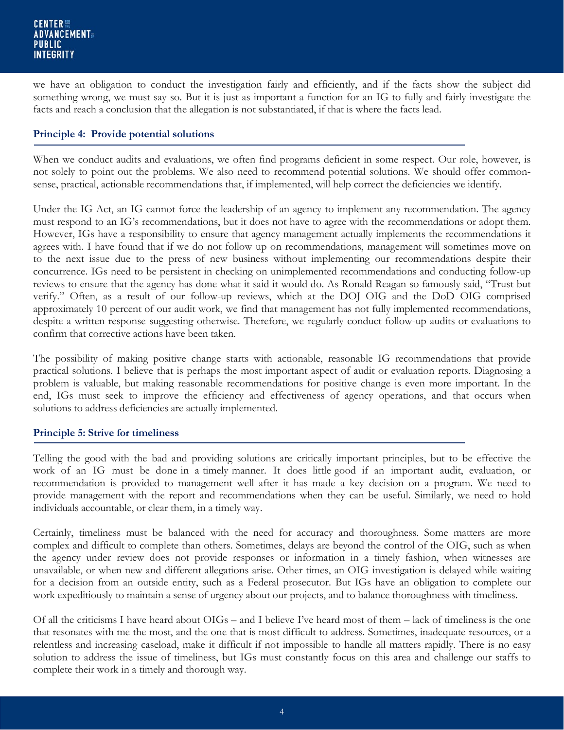we have an obligation to conduct the investigation fairly and efficiently, and if the facts show the subject did something wrong, we must say so. But it is just as important a function for an IG to fully and fairly investigate the facts and reach a conclusion that the allegation is not substantiated, if that is where the facts lead.

## **Principle 4: Provide potential solutions**

When we conduct audits and evaluations, we often find programs deficient in some respect. Our role, however, is not solely to point out the problems. We also need to recommend potential solutions. We should offer commonsense, practical, actionable recommendations that, if implemented, will help correct the deficiencies we identify.

Under the IG Act, an IG cannot force the leadership of an agency to implement any recommendation. The agency must respond to an IG's recommendations, but it does not have to agree with the recommendations or adopt them. However, IGs have a responsibility to ensure that agency management actually implements the recommendations it agrees with. I have found that if we do not follow up on recommendations, management will sometimes move on to the next issue due to the press of new business without implementing our recommendations despite their concurrence. IGs need to be persistent in checking on unimplemented recommendations and conducting follow-up reviews to ensure that the agency has done what it said it would do. As Ronald Reagan so famously said, "Trust but verify." Often, as a result of our follow-up reviews, which at the DOJ OIG and the DoD OIG comprised approximately 10 percent of our audit work, we find that management has not fully implemented recommendations, despite a written response suggesting otherwise. Therefore, we regularly conduct follow-up audits or evaluations to confirm that corrective actions have been taken.

The possibility of making positive change starts with actionable, reasonable IG recommendations that provide practical solutions. I believe that is perhaps the most important aspect of audit or evaluation reports. Diagnosing a problem is valuable, but making reasonable recommendations for positive change is even more important. In the end, IGs must seek to improve the efficiency and effectiveness of agency operations, and that occurs when solutions to address deficiencies are actually implemented.

#### **Principle 5: Strive for timeliness**

Telling the good with the bad and providing solutions are critically important principles, but to be effective the work of an IG must be done in a timely manner. It does little good if an important audit, evaluation, or recommendation is provided to management well after it has made a key decision on a program. We need to provide management with the report and recommendations when they can be useful. Similarly, we need to hold individuals accountable, or clear them, in a timely way.

Certainly, timeliness must be balanced with the need for accuracy and thoroughness. Some matters are more complex and difficult to complete than others. Sometimes, delays are beyond the control of the OIG, such as when the agency under review does not provide responses or information in a timely fashion, when witnesses are unavailable, or when new and different allegations arise. Other times, an OIG investigation is delayed while waiting for a decision from an outside entity, such as a Federal prosecutor. But IGs have an obligation to complete our work expeditiously to maintain a sense of urgency about our projects, and to balance thoroughness with timeliness.

Of all the criticisms I have heard about OIGs – and I believe I've heard most of them – lack of timeliness is the one that resonates with me the most, and the one that is most difficult to address. Sometimes, inadequate resources, or a relentless and increasing caseload, make it difficult if not impossible to handle all matters rapidly. There is no easy solution to address the issue of timeliness, but IGs must constantly focus on this area and challenge our staffs to complete their work in a timely and thorough way.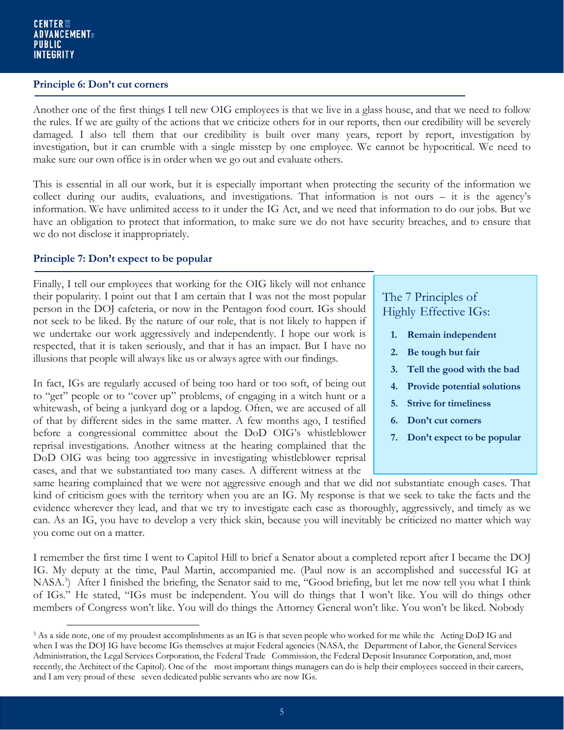#### **Principle 6: Don't cut corners**

Another one of the first things I tell new OIG employees is that we live in a glass house, and that we need to follow the rules. If we are guilty of the actions that we criticize others for in our reports, then our credibility will be severely damaged. I also tell them that our credibility is built over many years, report by report, investigation by investigation, but it can crumble with a single misstep by one employee. We cannot be hypocritical. We need to make sure our own office is in order when we go out and evaluate others.

This is essential in all our work, but it is especially important when protecting the security of the information we collect during our audits, evaluations, and investigations. That information is not ours – it is the agency's information. We have unlimited access to it under the IG Act, and we need that information to do our jobs. But we have an obligation to protect that information, to make sure we do not have security breaches, and to ensure that we do not disclose it inappropriately.

## **Principle 7: Don't expect to be popular**

Finally, I tell our employees that working for the OIG likely will not enhance their popularity. I point out that I am certain that I was not the most popular person in the DOJ cafeteria, or now in the Pentagon food court. IGs should not seek to be liked. By the nature of our role, that is not likely to happen if we undertake our work aggressively and independently. I hope our work is respected, that it is taken seriously, and that it has an impact. But I have no illusions that people will always like us or always agree with our findings.

In fact, IGs are regularly accused of being too hard or too soft, of being out to "get" people or to "cover up" problems, of engaging in a witch hunt or a whitewash, of being a junkyard dog or a lapdog. Often, we are accused of all of that by different sides in the same matter. A few months ago, I testified before a congressional committee about the DoD OIG's whistleblower reprisal investigations. Another witness at the hearing complained that the DoD OIG was being too aggressive in investigating whistleblower reprisal cases, and that we substantiated too many cases. A different witness at the

# The 7 Principles of Highly Effective IGs:

- **1. Remain independent**
- **2. Be tough but fair**
- **3. Tell the good with the bad**
- **4. Provide potential solutions**
- **5. Strive for timeliness**
- **6. Don't cut corners**
- **7. Don't expect to be popular**

same hearing complained that we were not aggressive enough and that we did not substantiate enough cases. That kind of criticism goes with the territory when you are an IG. My response is that we seek to take the facts and the evidence wherever they lead, and that we try to investigate each case as thoroughly, aggressively, and timely as we can. As an IG, you have to develop a very thick skin, because you will inevitably be criticized no matter which way you come out on a matter.

I remember the first time I went to Capitol Hill to brief a Senator about a completed report after I became the DOJ IG. My deputy at the time, Paul Martin, accompanied me. (Paul now is an accomplished and successful IG at NASA.<sup>3</sup>) After I finished the briefing, the Senator said to me, "Good briefing, but let me now tell you what I think of IGs." He stated, "IGs must be independent. You will do things that I won't like. You will do things other members of Congress won't like. You will do things the Attorney General won't like. You won't be liked. Nobody

<span id="page-5-0"></span><sup>&</sup>lt;sup>3</sup> As a side note, one of my proudest accomplishments as an IG is that seven people who worked for me while the Acting DoD IG and when I was the DOJ IG have become IGs themselves at major Federal agencies (NASA, the Department of Labor, the General Services Administration, the Legal Services Corporation, the Federal Trade Commission, the Federal Deposit Insurance Corporation, and, most recently, the Architect of the Capitol). One of the most important things managers can do is help their employees succeed in their careers, and I am very proud of these seven dedicated public servants who are now IGs.